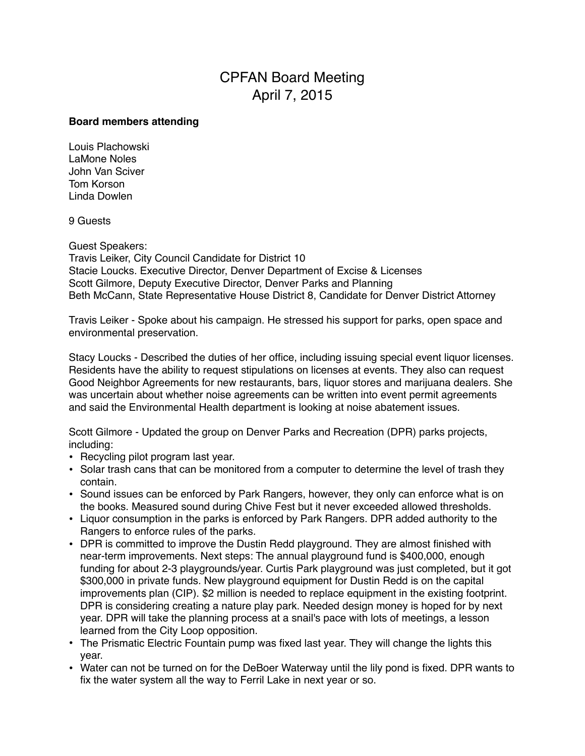## CPFAN Board Meeting April 7, 2015

## **Board members attending**

Louis Plachowski LaMone Noles John Van Sciver Tom Korson Linda Dowlen

9 Guests

Guest Speakers:

Travis Leiker, City Council Candidate for District 10 Stacie Loucks. Executive Director, Denver Department of Excise & Licenses Scott Gilmore, Deputy Executive Director, Denver Parks and Planning Beth McCann, State Representative House District 8, Candidate for Denver District Attorney

Travis Leiker - Spoke about his campaign. He stressed his support for parks, open space and environmental preservation.

Stacy Loucks - Described the duties of her office, including issuing special event liquor licenses. Residents have the ability to request stipulations on licenses at events. They also can request Good Neighbor Agreements for new restaurants, bars, liquor stores and marijuana dealers. She was uncertain about whether noise agreements can be written into event permit agreements and said the Environmental Health department is looking at noise abatement issues.

Scott Gilmore - Updated the group on Denver Parks and Recreation (DPR) parks projects, including:

- Recycling pilot program last year.
- Solar trash cans that can be monitored from a computer to determine the level of trash they contain.
- Sound issues can be enforced by Park Rangers, however, they only can enforce what is on the books. Measured sound during Chive Fest but it never exceeded allowed thresholds.
- Liquor consumption in the parks is enforced by Park Rangers. DPR added authority to the Rangers to enforce rules of the parks.
- DPR is committed to improve the Dustin Redd playground. They are almost finished with near-term improvements. Next steps: The annual playground fund is \$400,000, enough funding for about 2-3 playgrounds/year. Curtis Park playground was just completed, but it got \$300,000 in private funds. New playground equipment for Dustin Redd is on the capital improvements plan (CIP). \$2 million is needed to replace equipment in the existing footprint. DPR is considering creating a nature play park. Needed design money is hoped for by next year. DPR will take the planning process at a snail's pace with lots of meetings, a lesson learned from the City Loop opposition.
- The Prismatic Electric Fountain pump was fixed last year. They will change the lights this year.
- Water can not be turned on for the DeBoer Waterway until the lily pond is fixed. DPR wants to fix the water system all the way to Ferril Lake in next year or so.